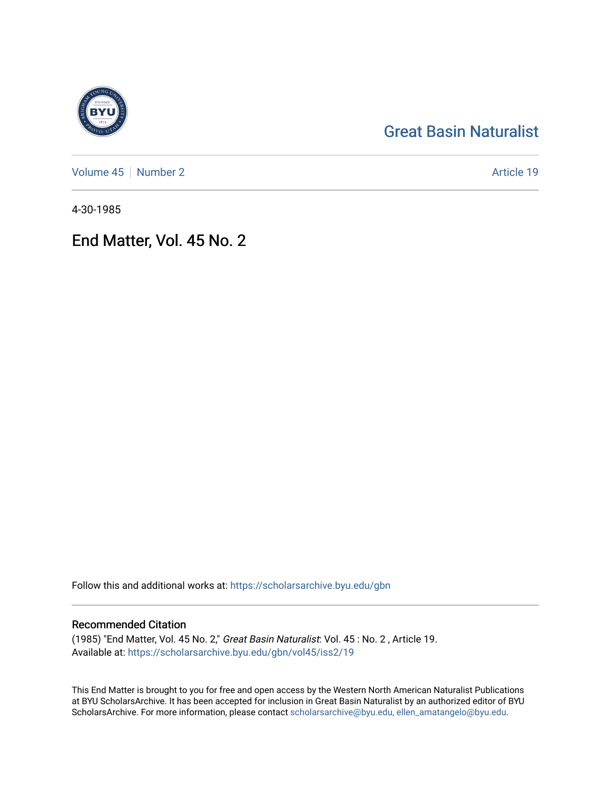# [Great Basin Naturalist](https://scholarsarchive.byu.edu/gbn)

[Volume 45](https://scholarsarchive.byu.edu/gbn/vol45) | [Number 2](https://scholarsarchive.byu.edu/gbn/vol45/iss2) Article 19

4-30-1985

# End Matter, Vol. 45 No. 2

Follow this and additional works at: [https://scholarsarchive.byu.edu/gbn](https://scholarsarchive.byu.edu/gbn?utm_source=scholarsarchive.byu.edu%2Fgbn%2Fvol45%2Fiss2%2F19&utm_medium=PDF&utm_campaign=PDFCoverPages) 

# Recommended Citation

(1985) "End Matter, Vol. 45 No. 2," Great Basin Naturalist: Vol. 45 : No. 2 , Article 19. Available at: [https://scholarsarchive.byu.edu/gbn/vol45/iss2/19](https://scholarsarchive.byu.edu/gbn/vol45/iss2/19?utm_source=scholarsarchive.byu.edu%2Fgbn%2Fvol45%2Fiss2%2F19&utm_medium=PDF&utm_campaign=PDFCoverPages) 

This End Matter is brought to you for free and open access by the Western North American Naturalist Publications at BYU ScholarsArchive. It has been accepted for inclusion in Great Basin Naturalist by an authorized editor of BYU ScholarsArchive. For more information, please contact [scholarsarchive@byu.edu, ellen\\_amatangelo@byu.edu.](mailto:scholarsarchive@byu.edu,%20ellen_amatangelo@byu.edu)

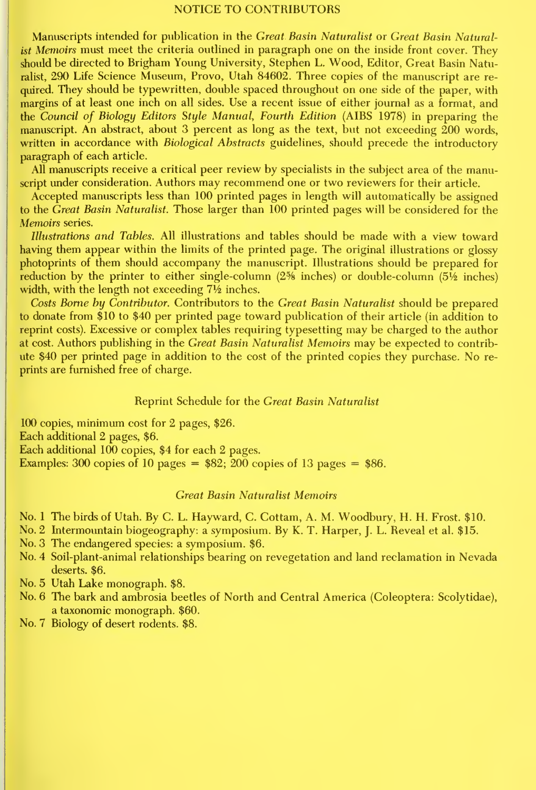#### NOTICE TO CONTRIBUTORS

Manuscripts intended for publication in the Great Basin Naturalist or Great Basin Naturalist Memoirs must meet the criteria outlined in paragraph one on the inside front cover. They should be directed to Brigham Young University, Stephen L. Wood, Editor, Great Basin Naturalist, 290 Life Science Museum, Provo, Utah 84602. Three copies of the manuscript are re quired. They should be typewritten, double spaced throughout on one side of the paper, with margins of at least one inch on all sides. Use a recent issue of either journal as a format, and the Council of Biology Editors Style Manual, Fourth Edition (AIBS 1978) in preparing the manuscript. An abstract, about 3 percent as long as the text, but not exceeding 200 words, written in accordance with Biological Abstracts guidelines, should precede the introductory paragraph of each article.

All manuscripts receive a critical peer review by specialists in the subject area of the manuscript under consideration. Authors may recommend one or two reviewers for their article.

Accepted manuscripts less than 100 printed pages in length will automatically be assigned to the Great Basin Naturalist. Those larger than 100 printed pages will be considered for the Memoirs series.

Illustrations and Tables. All illustrations and tables should be made with a view toward having them appear within the limits of the printed page. The original illustrations or glossy photoprints of them should accompany the manuscript. Illustrations should be prepared for reduction by the printer to either single-column  $(2\%$  inches) or double-column  $(5\%$  inches) width, with the length not exceeding  $7\frac{1}{2}$  inches.

Costs Borne by Contributor. Contributors to the Great Basin Naturalist should be prepared to donate from \$10 to \$40 per printed page toward publication of their article (in addition to reprint costs). Excessive or complex tables requiring typesetting may be charged to the author at cost. Authors publishing in the Great Basin Naturalist Memoirs may be expected to contribute \$40 per printed page in addition to the cost of the printed copies they purchase. No re prints are furnished free of charge.

### Reprint Schedule for the Great Basin Naturalist

100 copies, minimum cost for 2 pages, \$26. Each additional 2 pages, \$6. Each additional 100 copies, \$4 for each 2 pages. Examples: 300 copies of 10 pages  $=$  \$82; 200 copies of 13 pages  $=$  \$86.

### Great Basin Naturalist Memoirs

- No. <sup>1</sup>The birds of Utah. By C. L. Hayward, C. Cottam, A. M. Woodbury, H. H. Frost. \$10.
- No. 2 Intermountain biogeography: <sup>a</sup> symposium. By K. T. Harper, J. L. Reveal et al. \$15.
- No. 3 The endangered species: a symposium. \$6.
- No. 4 Soil-plant-animal relationships bearing on revegetation and land reclamation in Nevada deserts. \$6.
- No. 5 Utah Lake monograph. \$8.
- No. 6 The bark and ambrosia beetles of North and Central America (Coleoptera: Scolytidae), a taxonomic monograph. \$60.
- No. 7 Biology of desert rodents. \$8.